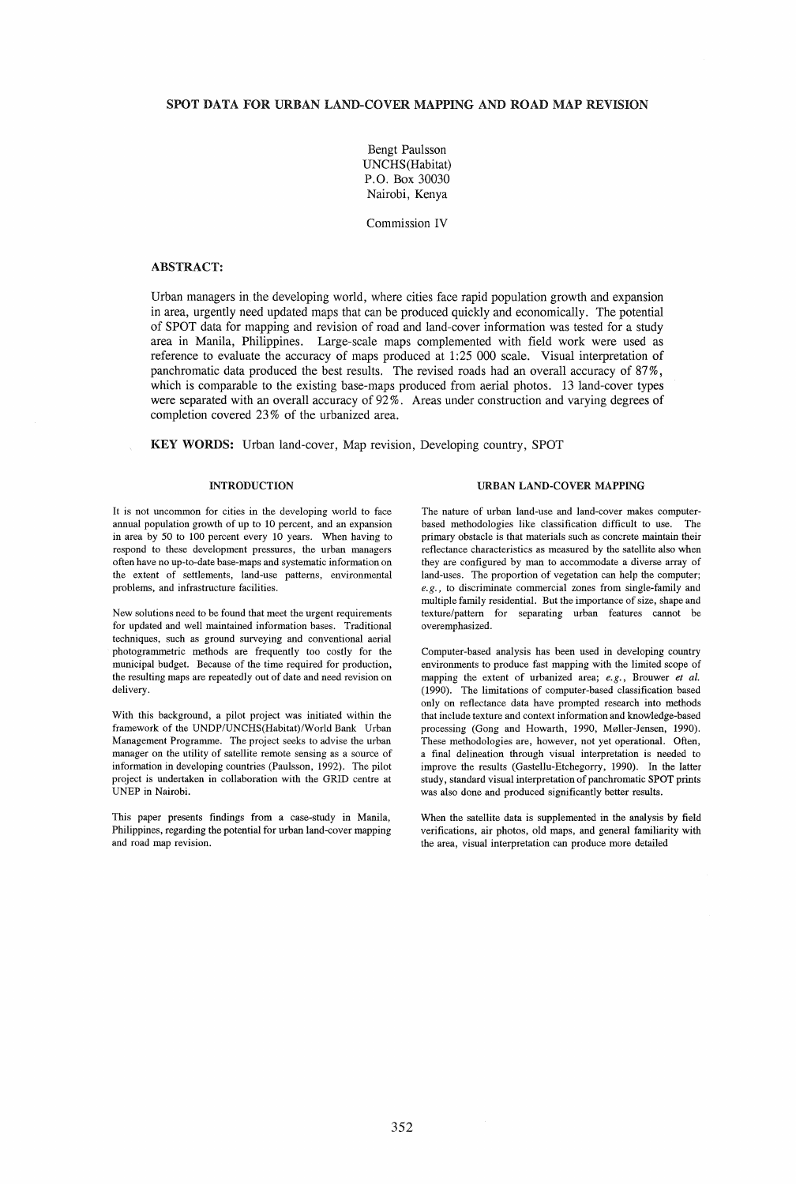# SPOT DATA FOR URBAN LAND-COVER MAPPING AND ROAD MAP REVISION

Bengt Paulsson UNCHS(Habitat) P.O. Box 30030 Nairobi, Kenya

Commission IV

# ABSTRACT:

Urban managers in. the developing world, where cities face rapid population growth and expansion in area, urgently need updated maps that can be produced quickly and economically. The potential of SPOT data for mapping and revision of road and land-cover information was tested for a study area in Manila, Philippines. Large-scale maps complemented with field work were used as reference to evaluate the accuracy of maps produced at 1:25 000 scale. Visual interpretation of panchromatic data produced the best results. The revised roads had an overall accuracy of 87%, which is comparable to the existing base-maps produced from aerial photos. 13 land-cover types were separated with an overall accuracy of 92 %. Areas under construction and varying degrees of completion covered 23 % of the urbanized area.

KEY WORDS: Urban land-cover, Map revision, Developing country, SPOT

### **INTRODUCTION**

It is not uncommon for cities in the developing world to face annual population growth of up to 10 percent, and an expansion in area by 50 to 100 percent every 10 years. When having to respond to these development pressures, the urban managers often have no up-to-date base-maps and systematic information on the extent of settlements, land-use patterns, environmental problems, and infrastructure facilities.

New solutions need to be found that meet the urgent requirements for updated and well maintained information bases. Traditional techniques, such as ground surveying and conventional aerial photogrammetric methods are frequently too costly for the municipal budget. Because of the time required for production, the resulting maps are repeatedly out of date and need revision on delivery.

With this background, a pilot project was initiated within the framework of the UNDP/UNCHS(Habitat)/World Bank Urban Management Programme. The project seeks to advise the urban manager on the utility of satellite remote sensing as a source of information in developing countries (Paulsson, 1992). The pilot project is undertaken in collaboration with the GRID centre at UNEP in Nairobi.

This paper presents findings from a case-study in Manila, Philippines, regarding the potential for urban land-cover mapping and road map revision.

## URBAN LAND-COVER MAPPING

The nature of urban land-use and land-cover makes computerbased methodologies like classification difficult to use. The primary obstacle is that materials such as concrete maintain their reflectance characteristics as measured by the satellite also when they are configured by man to accommodate a diverse array of land-uses. The proportion of vegetation can help the computer; *e.g.,* to discriminate commercial zones from single-family and multiple family residential. But the importance of size, shape and texture/pattern for separating urban features cannot be overemphasized.

Computer-based analysis has been used in developing country environments to produce fast mapping with the limited scope of mapping the extent of urbanized area; *e.g.,* Brouwer *et aI.*  (1990). The limitations of computer-based classification based only on reflectance data have prompted research into methods that include texture and context information and knowledge-based processing (Gong and Howarth, 1990, Møller-Jensen, 1990). These methodologies are, however, not yet operational. Often, a final delineation through visual interpretation is needed to improve the results (Gastellu-Etchegorry, 1990). In the latter study, standard visual interpretation of panchromatic SPOT prints was also done and produced significantly better results.

When the satellite data is supplemented in the analysis by field verifications, air photos, old maps, and general familiarity with the area, visual interpretation can produce more detailed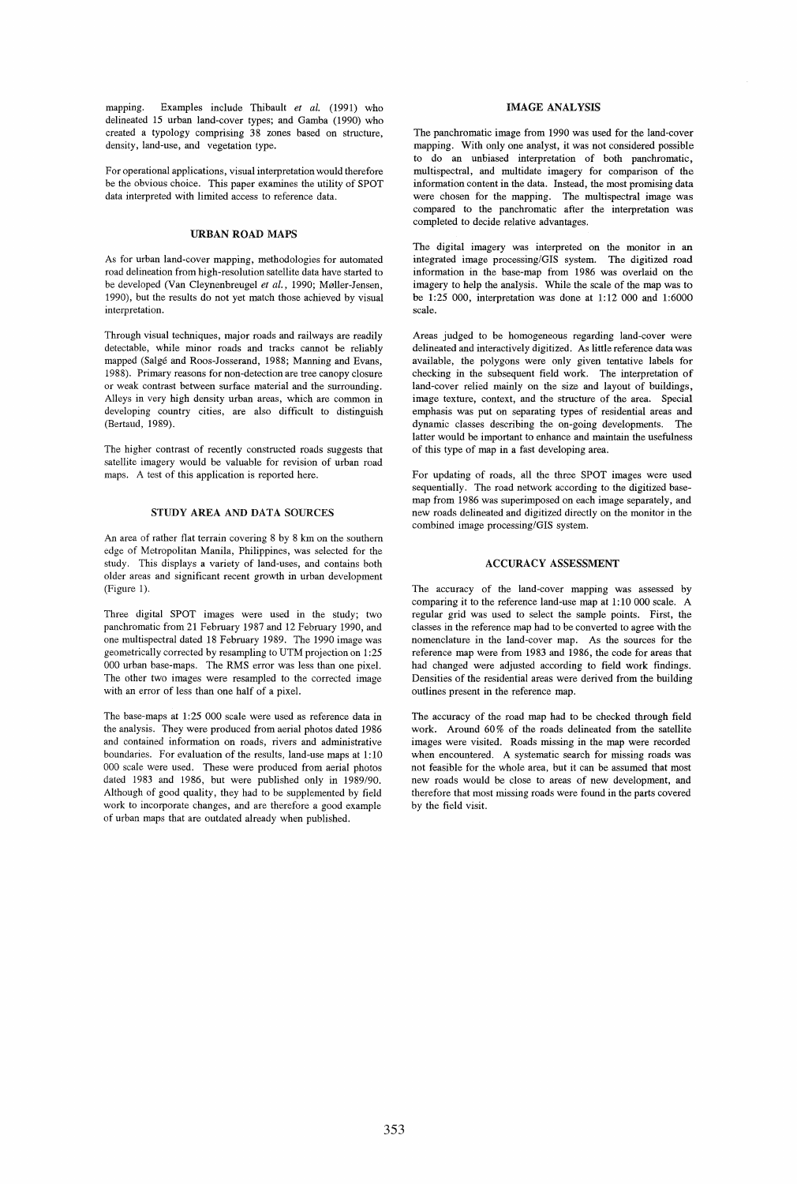mapping. Examples include Thibault *et al.* (1991) who delineated 15 urban land-cover types; and Gamba (1990) who created a typology comprising 38 zones based on structure, density, land-use, and vegetation type.

For operational applications, visual interpretation would therefore be the obvious choice. This paper examines the utility of SPOT data interpreted with limited access to reference data.

## URBAN ROAD MAPS

As for urban land-cover mapping, methodologies for automated road delineation from high-resolution satellite data have started to be developed (Van Cleynenbreugel *et al.,* 1990; M0Iler-Jensen, 1990), but the results do not yet match those achieved by visual interpretation.

Through visual techniques, major roads and railways are readily detectable, while minor roads and tracks cannot be reliably mapped (Salge and Roos-Josserand, 1988; Manning and Evans, 1988). Primary reasons for non-detection are tree canopy closure or weak contrast between surface material and the surrounding. Alleys in very high density urban areas, which are common in developing country cities, are also difficult to distinguish (Bertaud, 1989).

The higher contrast of recently constructed roads suggests that satellite imagery would be valuable for revision of urban road maps. A test of this application is reported here.

### STUDY AREA AND DATA SOURCES

An area of rather fiat terrain covering 8 by 8 km on the southern edge of Metropolitan Manila, Philippines, was selected for the study. This displays a variety of land-uses, and contains both older areas and significant recent growth in urban development (Figure 1).

Three digital SPOT images were used in the study; two panchromatic from 21 February 1987 and 12 February 1990, and one multispectral dated 18 February 1989. The 1990 image was geometrically corrected by resampling to UTM projection on 1:25 000 urban base-maps. The RMS error was less than one pixel. The other two images were resampled to the corrected image with an error of less than one half of a pixel.

The base-maps at 1:25 000 scale were used as reference data in the analysis. They were produced from aerial photos dated 1986 and contained information on roads, rivers and administrative boundaries. For evaluation of the results, land-use maps at 1: 10 000 scale were used. These were produced from aerial photos dated 1983 and 1986, but were published only in 1989/90. Although of good quality, they had to be supplemented by field work to incorporate changes, and are therefore a good example of urban maps that are outdated already when published.

### IMAGE ANALYSIS

The panchromatic image from 1990 was used for the land-cover mapping. With only one analyst, it was not considered possible to do an unbiased interpretation of both panchromatic, multispectral, and muItidate imagery for comparison of the information content in the data. Instead, the most promising data were chosen for the mapping. The multispectral image was compared to the panchromatic after the interpretation was completed to decide relative advantages.

The digital imagery was interpreted on the monitor in an integrated image processing/GIS system. The digitized road information in the base-map from 1986 was overlaid on the imagery to help the analysis. While the scale of the map was to be 1:25 000, interpretation was done at 1:12 000 and 1:6000 scale.

Areas judged to be homogeneous regarding land-cover were delineated and interactively digitized. As little reference data was available, the polygons were only given tentative labels for checking in the subsequent field work. The interpretation of land-cover relied mainly on the size and layout of buildings, image texture, context, and the structure of the area. Special emphasis was put on separating types of residential areas and dynamic classes describing the on-going developments. The latter would be important to enhance and maintain the usefulness of this type of map in a fast developing area.

For updating of roads, all the three SPOT images were used sequentially. The road network according to the digitized basemap from 1986 was superimposed on each image separately, and new roads delineated and digitized directly on the monitor in the combined image processing/GIS system.

### ACCURACY ASSESSMENT

The accuracy of the land-cover mapping was assessed by comparing it to the reference land-use map at 1: 10 000 scale. A regular grid was used to select the sample points. First, the classes in the reference map had to be converted to agree with the nomenclature in the land-cover map. As the sources for the reference map were from 1983 and 1986, the code for areas that had changed were adjusted according to field work findings. Densities of the residential areas were derived from the building outlines present in the reference map.

The accuracy of the road map had to be checked through field work. Around 60% of the roads delineated from the satellite images were visited. Roads missing in the map were recorded when encountered. A systematic search for missing roads was not feasible for the whole area, but it can be assumed that most new roads would be close to areas of new development, and therefore that most missing roads were found in the parts covered by the field visit.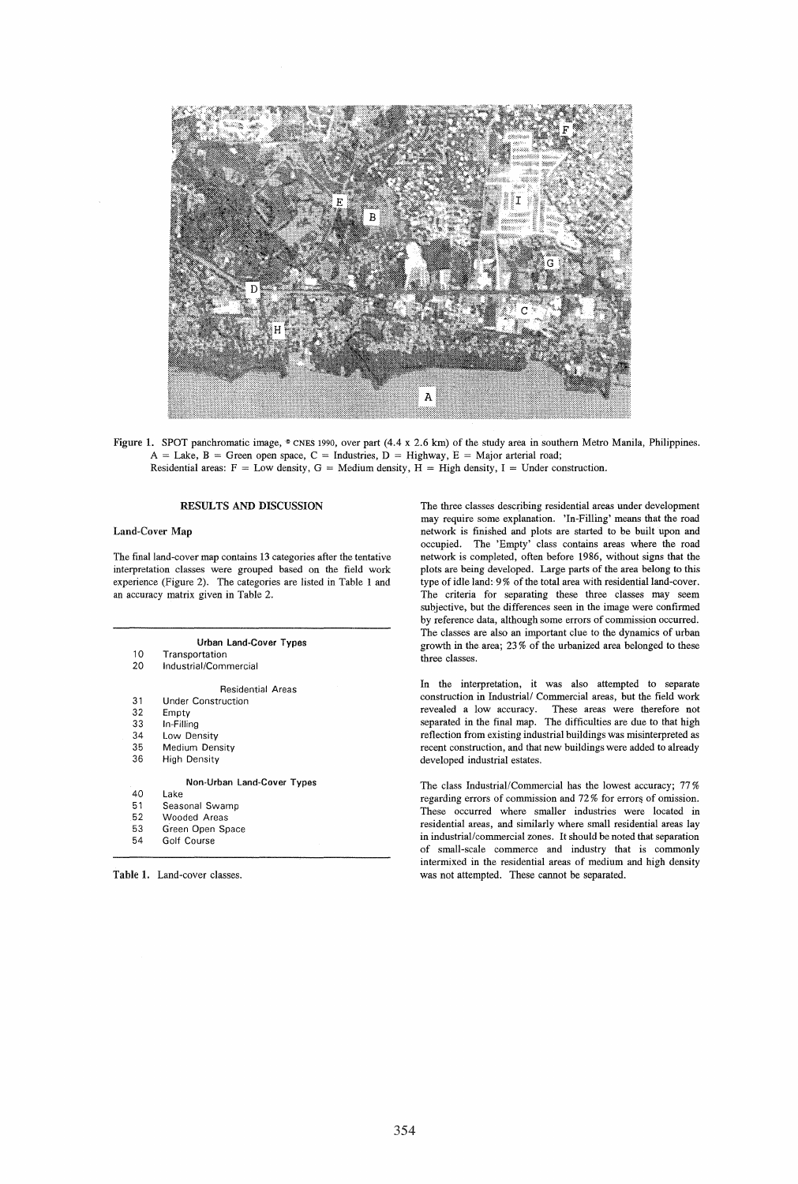

Figure 1. SPOT panchromatic image,  $\degree$  CNES 1990, over part (4.4 x 2.6 km) of the study area in southern Metro Manila, Philippines.  $A =$  Lake,  $B =$  Green open space,  $C =$  Industries,  $D =$  Highway,  $E =$  Major arterial road; Residential areas:  $F = Low$  density,  $G = Medium$  density,  $H = High$  density,  $I = Under$  construction.

#### RESULTS AND DISCUSSION

### Land-Cover Map

The final land-cover map contains 13 categories after the tentative interpretation classes were grouped based on the field work experience (Figure 2). The categories are listed in Table 1 and an accuracy matrix given in Table 2.

#### Urban land-Cover Types

- 10 Transportation
- 20 Industrial/Commercial

Residential Areas

- 31 Under Construction
- 32 33 Empty
- 34 In-Filling Low Density
- 35 Medium Density
- 36 High Density
	- Non-Urban Land-Cover Types
- 40 Lake<br>51 Seas
- 51 Seasonal Swamp<br>52 Wooded Areas
- 52 Wooded Areas<br>53 Green Open Sp
- 53 Green Open Space Golf Course
- 

Table 1. Land-cover classes.

The three classes describing residential areas under development may require some explanation. 'In-Filling' means that the road network is finished and plots are started to be built upon and occupied. The 'Empty' class contains areas where the road network is completed, often before 1986, without signs that the plots are being developed. Large parts of the area belong to this type of idle land: 9 % of the total area with residential land-cover . The criteria for separating these three classes may seem subjective, but the differences seen in the image were confirmed by reference data, although some errors of commission occurred. The classes are also an important clue to the dynamics of urban growth in the area; 23 % of the urbanized area belonged to these three classes.

In the interpretation, it was also attempted to separate construction in Industrial/ Commercial areas, but the field work revealed a low accuracy. These areas were therefore not separated in the final map. The difficulties are due to that high reflection from existing industrial buildings was misinterpreted as recent construction, and that new buildings were added to already developed industrial estates.

The class Industrial/Commercial has the lowest accuracy; 77 % regarding errors of commission and 72% for errors of omission. These occurred where smaller industries were located in residential areas, and similarly where small residential areas lay in industrial/commercial zones. It should be noted that separation of small-scale commerce and industry that is commonly intermixed in the residential areas of medium and high density was not attempted. These cannot be separated.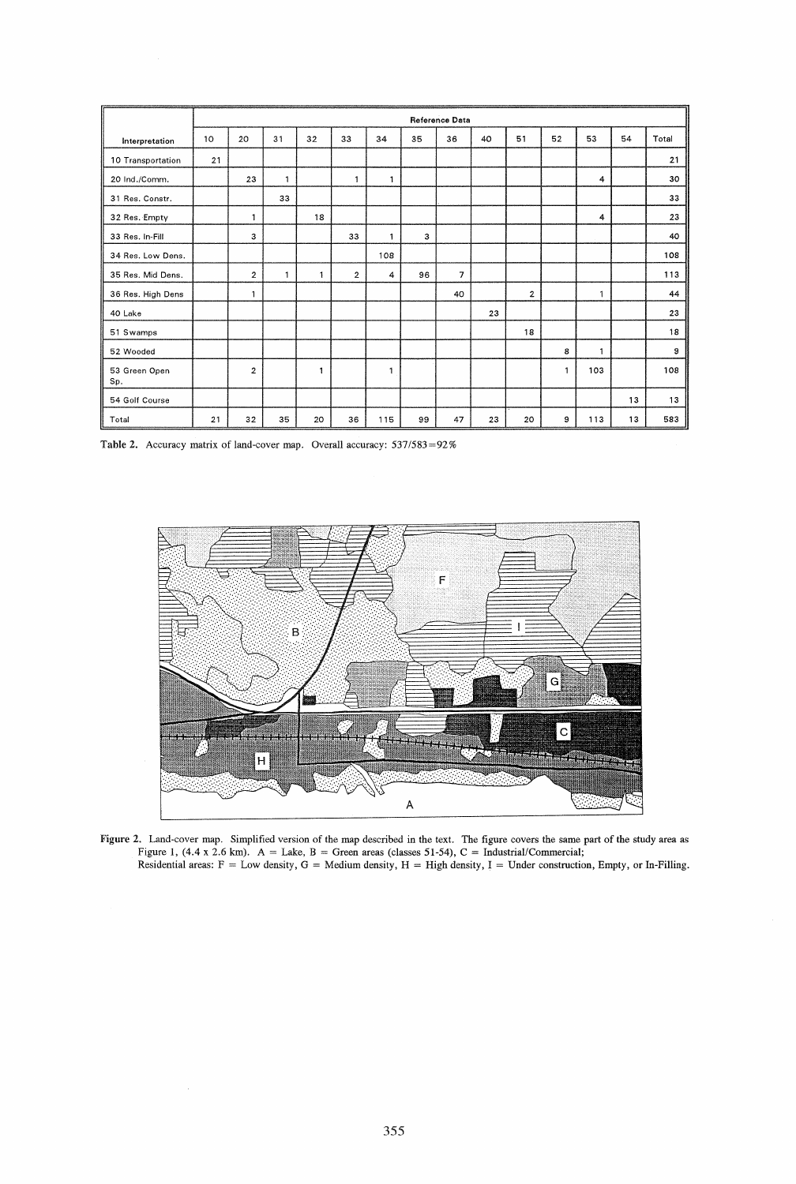|                      |    |                         |              |    |                         |     |    | Reference Data |    |                |              |     |    |       |
|----------------------|----|-------------------------|--------------|----|-------------------------|-----|----|----------------|----|----------------|--------------|-----|----|-------|
| Interpretation       | 10 | 20                      | 31           | 32 | 33                      | 34  | 35 | 36             | 40 | 51             | 52           | 53  | 54 | Total |
| 10 Transportation    | 21 |                         |              |    |                         |     |    |                |    |                |              |     |    | 21    |
| 20 Ind./Comm.        |    | 23                      | 1            |    | $\mathbf{1}$            | 1   |    |                |    |                |              | 4   |    | 30    |
| 31 Res. Constr.      |    |                         | 33           |    |                         |     |    |                |    |                |              |     |    | 33    |
| 32 Res. Empty        |    | 1                       |              | 18 |                         |     |    |                |    |                |              | 4   |    | 23    |
| 33 Res. In-Fill      |    | 3                       |              |    | 33                      | 1   | з  |                |    |                |              |     |    | 40    |
| 34 Res. Low Dens.    |    |                         |              |    |                         | 108 |    |                |    |                |              |     |    | 108   |
| 35 Res. Mid Dens.    |    | $\overline{\mathbf{c}}$ | $\mathbf{1}$ | 1  | $\overline{\mathbf{2}}$ | 4   | 96 | $\overline{7}$ |    |                |              |     |    | 113   |
| 36 Res. High Dens    |    | $\mathbf{1}$            |              |    |                         |     |    | 40             |    | $\overline{2}$ |              | 1   |    | 44    |
| 40 Lake              |    |                         |              |    |                         |     |    |                | 23 |                |              |     |    | 23    |
| 51 Swamps            |    |                         |              |    |                         |     |    |                |    | 18             |              |     |    | 18    |
| 52 Wooded            |    |                         |              |    |                         |     |    |                |    |                | 8            | 1   |    | 9     |
| 53 Green Open<br>Sp. |    | $\overline{c}$          |              | 1  |                         | 1   |    |                |    |                | $\mathbf{1}$ | 103 |    | 108   |
| 54 Golf Course       |    |                         |              |    |                         |     |    |                |    |                |              |     | 13 | 13    |
| Total                | 21 | 32                      | 35           | 20 | 36                      | 115 | 99 | 47             | 23 | 20             | 9            | 113 | 13 | 583   |

Table 2. Accuracy matrix of land-cover map. Overall accuracy: *537/583=92%* 



Figure 2. Land-cover map. Simplified version of the map described in the text. The figure covers the same part of the study area as Figure 1, (4.4 x 2.6 km).  $A =$  Lake, B = Green areas (classes 51-54), C = Industrial/Commercial; Residential areas:  $F = Low$  density,  $G = Medium$  density,  $H = High$  density,  $I = Under$  construction, Empty, or In-Filling.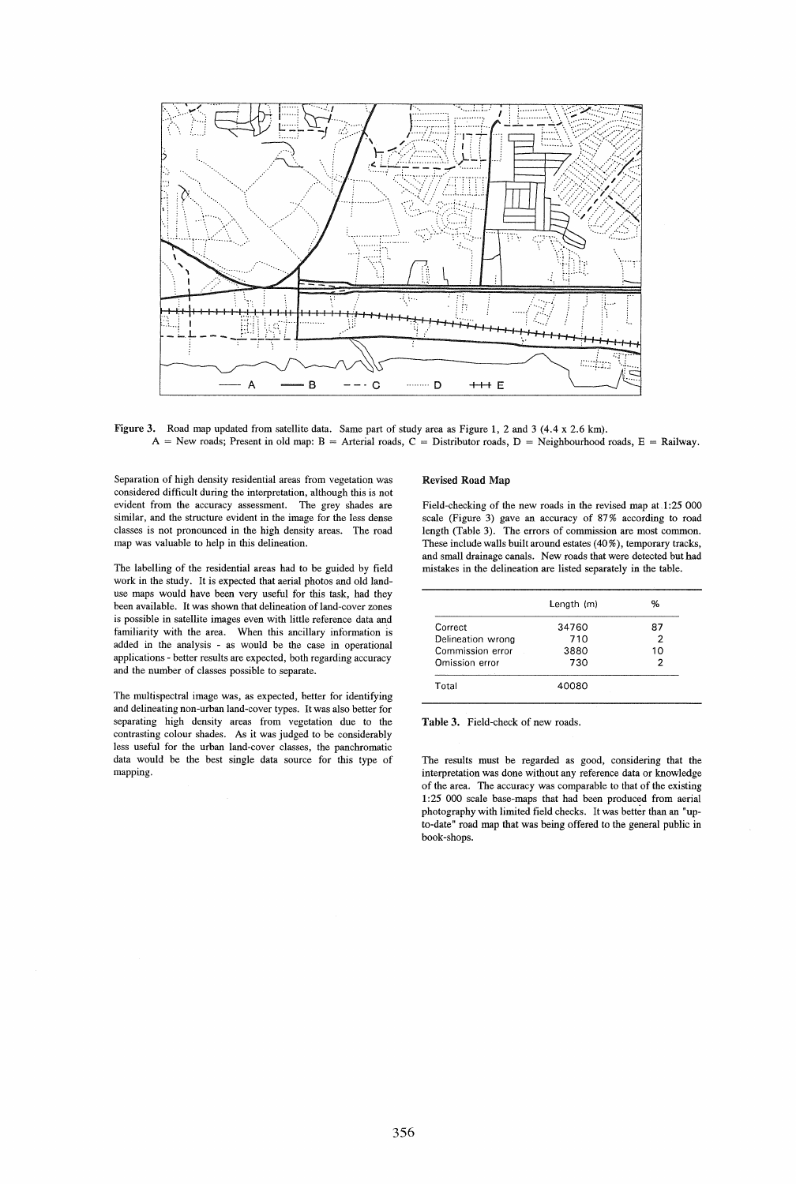

Figure 3. Road map updated from satellite data. Same part of study area as Figure 1, 2 and 3 (4.4 x 2.6 km).  $A =$  New roads; Present in old map:  $B =$  Arterial roads,  $C =$  Distributor roads,  $D =$  Neighbourhood roads,  $E =$  Railway.

Separation of high density residential areas from vegetation was considered difficult during the interpretation, although this is not evident from the accuracy assessment. The grey shades are similar, and the structure evident in the image for the less dense classes is not pronounced in the high density areas. The road map was valuable to help in this delineation.

The labelling of the residential areas had to be guided by field work in the study. It is expected that aerial photos and old landuse maps would have been very useful for this task, had they been available. It was shown that delineation of land-cover zones is possible in satellite images even with little reference data and familiarity with the area. When this ancillary information is added in the analysis - as would be the case in operational applications - better results are expected, both regarding accuracy and the number of classes possible to separate.

The multispectral image was, as expected, better for identifying and delineating non-urban land-cover types. It was also better for separating high density areas from vegetation due to the contrasting colour shades. As it was judged to be considerably less useful for the urban land-cover classes, the panchromatic data would be the best single data source for this type of mapping.

#### Revised Road Map

Field-checking of the new roads in the revised map at.l:25 000 scale (Figure 3) gave an accuracy of 87 % according to road length (Table 3). The errors of commission are most common. These include walls built around estates (40 %), temporary tracks, and small drainage canals. New roads that were detected but had mistakes in the delineation are listed separately in the table.

|                   | Length (m) | ℅  |
|-------------------|------------|----|
| Correct           | 34760      | 87 |
| Delineation wrong | 710        |    |
| Commission error  | 3880       | 10 |
| Omission error    | 730        |    |
| Total             | 40080      |    |

Table 3. Field-check of new roads.

The results must be regarded as good, considering that the interpretation was done without any reference data or knowledge of the area. The accuracy was comparable to that of the existing 1:25 000 scale base-maps that had been produced from aerial photography with limited field checks. It was better than an "upto-date" road map that was being offered to the general public in book-shops.